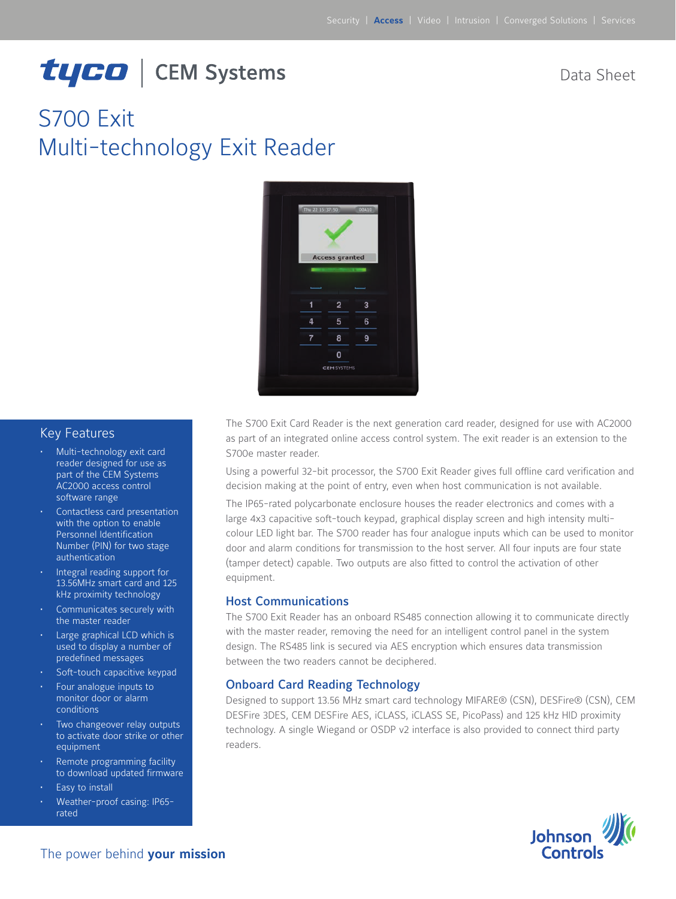# tyco | CEM Systems

Data Sheet

# S700 Exit Multi-technology Exit Reader



#### Key Features

- Multi-technology exit card reader designed for use as part of the CEM Systems AC2000 access control software range
- Contactless card presentation with the option to enable Personnel Identification Number (PIN) for two stage authentication
- Integral reading support for 13.56MHz smart card and 125 kHz proximity technology
- Communicates securely with the master reader
- Large graphical LCD which is used to display a number of predefined messages
- Soft-touch capacitive keypad
- Four analogue inputs to monitor door or alarm conditions
- Two changeover relay outputs to activate door strike or other equipment
- Remote programming facility to download updated firmware
- Easy to install
- Weather-proof casing: IP65rated

The S700 Exit Card Reader is the next generation card reader, designed for use with AC2000 as part of an integrated online access control system. The exit reader is an extension to the S700e master reader.

Using a powerful 32-bit processor, the S700 Exit Reader gives full offline card verification and decision making at the point of entry, even when host communication is not available.

The IP65-rated polycarbonate enclosure houses the reader electronics and comes with a large 4x3 capacitive soft-touch keypad, graphical display screen and high intensity multicolour LED light bar. The S700 reader has four analogue inputs which can be used to monitor door and alarm conditions for transmission to the host server. All four inputs are four state (tamper detect) capable. Two outputs are also fitted to control the activation of other equipment.

#### Host Communications

The S700 Exit Reader has an onboard RS485 connection allowing it to communicate directly with the master reader, removing the need for an intelligent control panel in the system design. The RS485 link is secured via AES encryption which ensures data transmission between the two readers cannot be deciphered.

#### Onboard Card Reading Technology

Designed to support 13.56 MHz smart card technology MIFARE® (CSN), DESFire® (CSN), CEM DESFire 3DES, CEM DESFire AES, iCLASS, iCLASS SE, PicoPass) and 125 kHz HID proximity technology. A single Wiegand or OSDP v2 interface is also provided to connect third party readers.

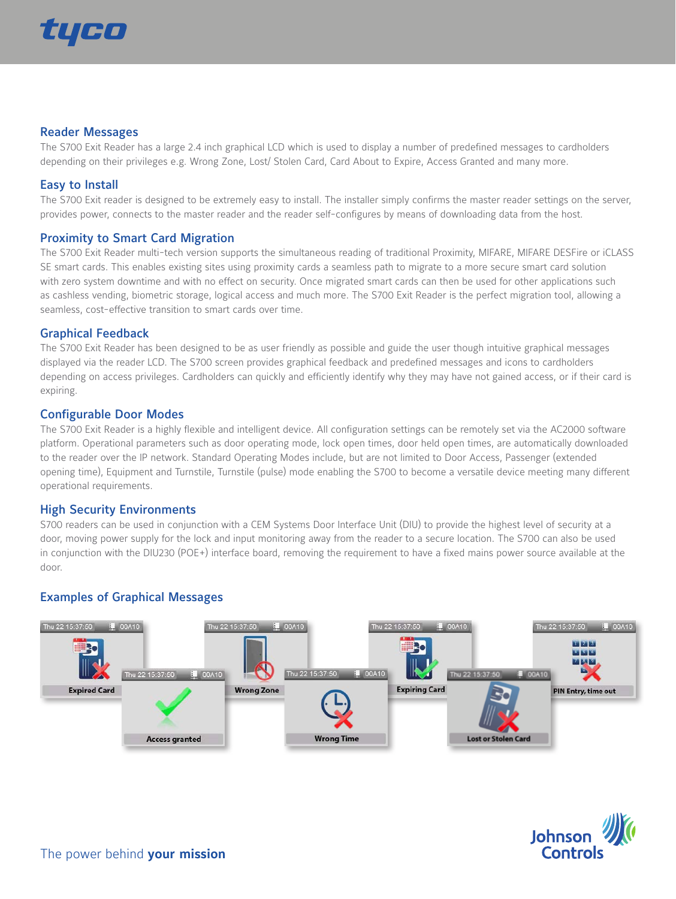

#### Reader Messages

The S700 Exit Reader has a large 2.4 inch graphical LCD which is used to display a number of predefined messages to cardholders depending on their privileges e.g. Wrong Zone, Lost/ Stolen Card, Card About to Expire, Access Granted and many more.

#### Easy to Install

The S700 Exit reader is designed to be extremely easy to install. The installer simply confirms the master reader settings on the server, provides power, connects to the master reader and the reader self-configures by means of downloading data from the host.

#### Proximity to Smart Card Migration

The S700 Exit Reader multi-tech version supports the simultaneous reading of traditional Proximity, MIFARE, MIFARE DESFire or iCLASS SE smart cards. This enables existing sites using proximity cards a seamless path to migrate to a more secure smart card solution with zero system downtime and with no effect on security. Once migrated smart cards can then be used for other applications such as cashless vending, biometric storage, logical access and much more. The S700 Exit Reader is the perfect migration tool, allowing a seamless, cost-effective transition to smart cards over time.

#### Graphical Feedback

The S700 Exit Reader has been designed to be as user friendly as possible and guide the user though intuitive graphical messages displayed via the reader LCD. The S700 screen provides graphical feedback and predefined messages and icons to cardholders depending on access privileges. Cardholders can quickly and efficiently identify why they may have not gained access, or if their card is expiring.

#### Configurable Door Modes

The S700 Exit Reader is a highly flexible and intelligent device. All configuration settings can be remotely set via the AC2000 software platform. Operational parameters such as door operating mode, lock open times, door held open times, are automatically downloaded to the reader over the IP network. Standard Operating Modes include, but are not limited to Door Access, Passenger (extended opening time), Equipment and Turnstile, Turnstile (pulse) mode enabling the S700 to become a versatile device meeting many different operational requirements.

#### High Security Environments

S700 readers can be used in conjunction with a CEM Systems Door Interface Unit (DIU) to provide the highest level of security at a door, moving power supply for the lock and input monitoring away from the reader to a secure location. The S700 can also be used in conjunction with the DIU230 (POE+) interface board, removing the requirement to have a fixed mains power source available at the door.

#### Examples of Graphical Messages



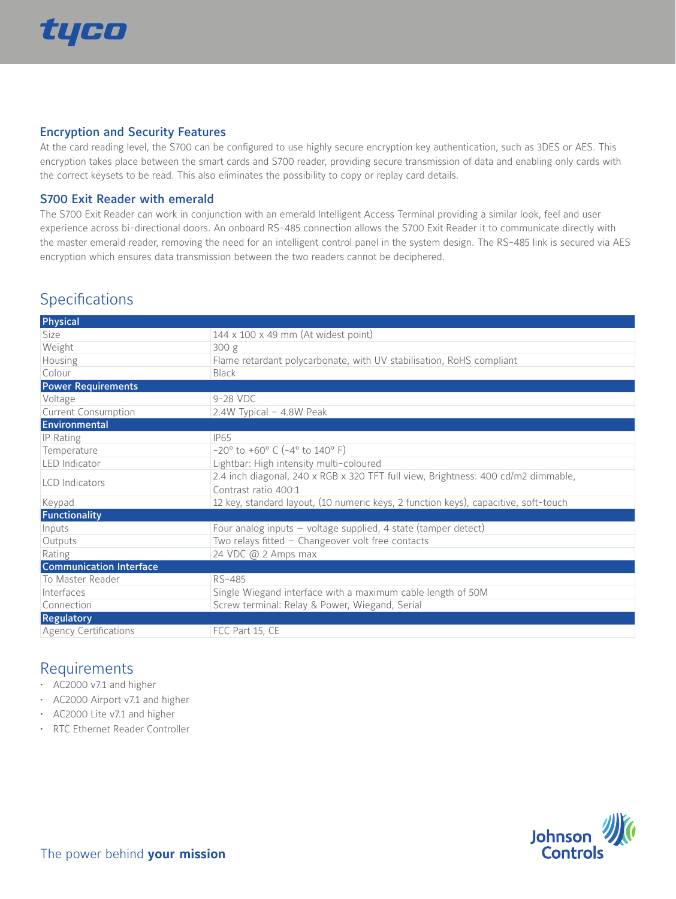

#### Encryption and Security Features

At the card reading level, the S700 can be configured to use highly secure encryption key authentication, such as 3DES or AES. This encryption takes place between the smart cards and S700 reader, providing secure transmission of data and enabling only cards with the correct keysets to be read. This also eliminates the possibility to copy or replay card details.

#### S700 Exit Reader with emerald

The S700 Exit Reader can work in conjunction with an emerald Intelligent Access Terminal providing a similar look, feel and user experience across bi-directional doors. An onboard RS-485 connection allows the S700 Exit Reader it to communicate directly with the master emerald reader, removing the need for an intelligent control panel in the system design. The RS-485 link is secured via AES encryption which ensures data transmission between the two readers cannot be deciphered.

# **Specifications**

| Physical                       |                                                                                     |
|--------------------------------|-------------------------------------------------------------------------------------|
| Size                           | 144 x 100 x 49 mm (At widest point)                                                 |
| Weight                         | 300 g                                                                               |
| Housing                        | Flame retardant polycarbonate, with UV stabilisation, RoHS compliant                |
| Colour                         | <b>Black</b>                                                                        |
| <b>Power Requirements</b>      |                                                                                     |
| Voltage                        | 9-28 VDC                                                                            |
| <b>Current Consumption</b>     | 2.4W Typical - 4.8W Peak                                                            |
| Environmental                  |                                                                                     |
| IP Rating                      | IP65                                                                                |
| Temperature                    | $-20^{\circ}$ to $+60^{\circ}$ C ( $-4^{\circ}$ to $140^{\circ}$ F)                 |
| LED Indicator                  | Lightbar: High intensity multi-coloured                                             |
| <b>LCD</b> Indicators          | 2.4 inch diagonal, 240 x RGB x 320 TFT full view, Brightness: 400 cd/m2 dimmable,   |
|                                | Contrast ratio 400:1                                                                |
| Keypad                         | 12 key, standard layout, (10 numeric keys, 2 function keys), capacitive, soft-touch |
| Functionality                  |                                                                                     |
| Inputs                         | Four analog inputs $-$ voltage supplied, 4 state (tamper detect)                    |
| Outputs                        | Two relays fitted $-$ Changeover volt free contacts                                 |
| Rating                         | 24 VDC @ 2 Amps max                                                                 |
| <b>Communication Interface</b> |                                                                                     |
| To Master Reader               | RS-485                                                                              |
| Interfaces                     | Single Wiegand interface with a maximum cable length of 50M                         |
| Connection                     | Screw terminal: Relay & Power, Wiegand, Serial                                      |
| <b>Regulatory</b>              |                                                                                     |
| <b>Agency Certifications</b>   | FCC Part 15, CE                                                                     |

## Requirements

- • AC2000 v7.1 and higher
- • AC2000 Airport v7.1 and higher
- • AC2000 Lite v7.1 and higher
- • RTC Ethernet Reader Controller